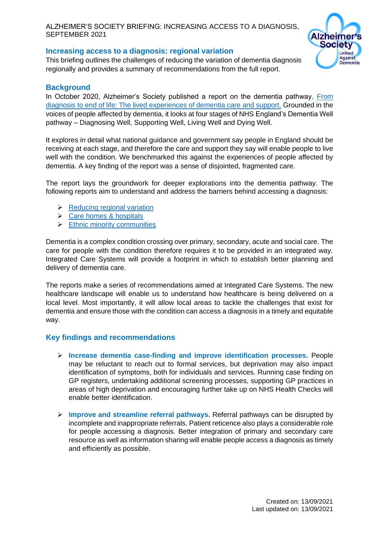#### ALZHEIMER'S SOCIETY BRIEFING: INCREASING ACCESS TO A DIAGNOSIS, SEPTEMBER 2021

## **Increasing access to a diagnosis: regional variation**

This briefing outlines the challenges of reducing the variation of dementia diagnosis regionally and provides a summary of recommendations from the full report.



# **Background**

In October 2020, Alzheimer's Society published a report on the dementia pathway, [From](https://www.alzheimers.org.uk/about-us/policy-and-influencing/from-diagnosis-to-end-of-life)  [diagnosis to end of life: The lived experiences of dementia care and support.](https://www.alzheimers.org.uk/about-us/policy-and-influencing/from-diagnosis-to-end-of-life) Grounded in the voices of people affected by dementia, it looks at four stages of NHS England's Dementia Well pathway – Diagnosing Well, Supporting Well, Living Well and Dying Well.

It explores in detail what national guidance and government say people in England should be receiving at each stage, and therefore the care and support they say will enable people to live well with the condition. We benchmarked this against the experiences of people affected by dementia. A key finding of the report was a sense of disjointed, fragmented care.

The report lays the groundwork for deeper explorations into the dementia pathway. The following reports aim to understand and address the barriers behind accessing a diagnosis:

- ➢ [Reducing regional variation](https://www.alzheimers.org.uk/sites/default/files/2021-09/regional_variations_increasing_access_to_diagnosis.pdf)
- $\triangleright$  [Care homes & hospitals](https://www.alzheimers.org.uk/sites/default/files/2021-09/hospitals_and_care_homes_increasing_access_to_diagnosis.pdf)
- $\triangleright$  [Ethnic minority communities](https://www.alzheimers.org.uk/sites/default/files/2021-09/ethinic_minorities_increasing_access_to_diagnosis.pdf)

Dementia is a complex condition crossing over primary, secondary, acute and social care. The care for people with the condition therefore requires it to be provided in an integrated way. Integrated Care Systems will provide a footprint in which to establish better planning and delivery of dementia care.

The reports make a series of recommendations aimed at Integrated Care Systems. The new healthcare landscape will enable us to understand how healthcare is being delivered on a local level. Most importantly, it will allow local areas to tackle the challenges that exist for dementia and ensure those with the condition can access a diagnosis in a timely and equitable way.

#### **Key findings and recommendations**

- ➢ **Increase dementia case-finding and improve identification processes.** People may be reluctant to reach out to formal services, but deprivation may also impact identification of symptoms, both for individuals and services. Running case finding on GP registers, undertaking additional screening processes, supporting GP practices in areas of high deprivation and encouraging further take up on NHS Health Checks will enable better identification.
- ➢ **Improve and streamline referral pathways.** Referral pathways can be disrupted by incomplete and inappropriate referrals. Patient reticence also plays a considerable role for people accessing a diagnosis. Better integration of primary and secondary care resource as well as information sharing will enable people access a diagnosis as timely and efficiently as possible.